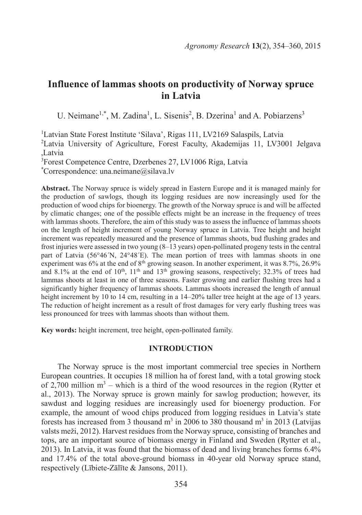# **Influence of lammas shoots on productivity of Norway spruce in Latvia**

U. Neimane<sup>1,\*</sup>, M. Zadina<sup>1</sup>, L. Sisenis<sup>2</sup>, B. Dzerina<sup>1</sup> and A. Pobiarzens<sup>3</sup>

<sup>1</sup>Latvian State Forest Institute 'Silava', Rigas 111, LV2169 Salaspils, Latvia <sup>2</sup>Latvia University of Agriculture, Forest Faculty, Akademijas 11, LV3001 Jelgava Latvia <sup>3</sup>Forest Competence Centre, Dzerbenes 27, LV1006 Riga, Latvia

\*Correspondence: una.neimane@silava.lv

**Abstract.** The Norway spruce is widely spread in Eastern Europe and it is managed mainly for the production of sawlogs, though its logging residues are now increasingly used for the production of wood chips for bioenergy. The growth of the Norway spruce is and will be affected by climatic changes; one of the possible effects might be an increase in the frequency of trees with lammas shoots. Therefore, the aim of this study was to assess the influence of lammas shoots on the length of height increment of young Norway spruce in Latvia. Tree height and height increment was repeatedly measured and the presence of lammas shoots, bud flushing grades and frost injuries were assessed in two young (8–13 years) open-pollinated progeny tests in the central part of Latvia (56°46´N, 24°48´E). The mean portion of trees with lammas shoots in one experiment was 6% at the end of 8<sup>th</sup> growing season. In another experiment, it was 8.7%, 26.9% and 8.1% at the end of 10<sup>th</sup>, 11<sup>th</sup> and 13<sup>th</sup> growing seasons, respectively; 32.3% of trees had lammas shoots at least in one of three seasons. Faster growing and earlier flushing trees had a significantly higher frequency of lammas shoots. Lammas shoots increased the length of annual height increment by 10 to 14 cm, resulting in a 14–20% taller tree height at the age of 13 years. The reduction of height increment as a result of frost damages for very early flushing trees was less pronounced for trees with lammas shoots than without them.

**Key words:** height increment, tree height, open-pollinated family.

## **INTRODUCTION**

The Norway spruce is the most important commercial tree species in Northern European countries. It occupies 18 million ha of forest land, with a total growing stock of 2,700 million  $m<sup>3</sup>$  – which is a third of the wood resources in the region (Rytter et al., 2013). The Norway spruce is grown mainly for sawlog production; however, its sawdust and logging residues are increasingly used for bioenergy production. For example, the amount of wood chips produced from logging residues in Latvia's state forests has increased from 3 thousand  $m<sup>3</sup>$  in 2006 to 380 thousand  $m<sup>3</sup>$  in 2013 (Latvijas valsts meži, 2012). Harvest residues from the Norway spruce, consisting of branches and tops, are an important source of biomass energy in Finland and Sweden (Rytter et al., 2013). In Latvia, it was found that the biomass of dead and living branches forms 6.4% and 17.4% of the total above-ground biomass in 40-year old Norway spruce stand, respectively (Lībiete-Zālīte & Jansons, 2011).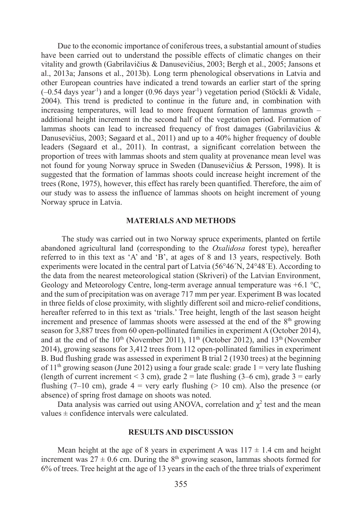Due to the economic importance of coniferous trees, a substantial amount of studies have been carried out to understand the possible effects of climatic changes on their vitality and growth (Gabrilavičius & Danusevičius, 2003; Bergh et al., 2005; Jansons et al., 2013a; Jansons et al., 2013b). Long term phenological observations in Latvia and other European countries have indicated a trend towards an earlier start of the spring  $(-0.54 \text{ days year}^{-1})$  and a longer  $(0.96 \text{ days year}^{-1})$  vegetation period (Stöckli & Vidale, 2004). This trend is predicted to continue in the future and, in combination with increasing temperatures, will lead to more frequent formation of lammas growth – additional height increment in the second half of the vegetation period. Formation of lammas shoots can lead to increased frequency of frost damages (Gabrilavičius & Danusevičius, 2003; Søgaard et al., 2011) and up to a 40% higher frequency of double leaders (Søgaard et al., 2011). In contrast, a significant correlation between the proportion of trees with lammas shoots and stem quality at provenance mean level was not found for young Norway spruce in Sweden (Danusevičius & Persson, 1998). It is suggested that the formation of lammas shoots could increase height increment of the trees (Rone, 1975), however, this effect has rarely been quantified. Therefore, the aim of our study was to assess the influence of lammas shoots on height increment of young Norway spruce in Latvia.

# **MATERIALS AND METHODS**

The study was carried out in two Norway spruce experiments, planted on fertile abandoned agricultural land (corresponding to the *Oxalidosa* forest type), hereafter referred to in this text as 'A' and 'B', at ages of 8 and 13 years, respectively. Both experiments were located in the central part of Latvia (56°46´N, 24°48´E). According to the data from the nearest meteorological station (Skriveri) of the Latvian Environment, Geology and Meteorology Centre, long-term average annual temperature was  $+6.1 \degree C$ , and the sum of precipitation was on average 717 mm per year. Experiment B was located in three fields of close proximity, with slightly different soil and micro-relief conditions, hereafter referred to in this text as 'trials.' Tree height, length of the last season height increment and presence of lammas shoots were assessed at the end of the  $8<sup>th</sup>$  growing season for 3,887 trees from 60 open-pollinated families in experiment A (October 2014), and at the end of the  $10<sup>th</sup>$  (November 2011),  $11<sup>th</sup>$  (October 2012), and  $13<sup>th</sup>$  (November 2014), growing seasons for 3,412 trees from 112 open-pollinated families in experiment B. Bud flushing grade was assessed in experiment B trial 2 (1930 trees) at the beginning of  $11<sup>th</sup>$  growing season (June 2012) using a four grade scale: grade  $1 = \text{very late flushing}$ (length of current increment  $<$  3 cm), grade 2 = late flushing (3–6 cm), grade 3 = early flushing (7–10 cm), grade  $4 =$  very early flushing ( $> 10$  cm). Also the presence (or absence) of spring frost damage on shoots was noted.

Data analysis was carried out using ANOVA, correlation and  $\chi^2$  test and the mean values  $\pm$  confidence intervals were calculated.

#### **RESULTS AND DISCUSSION**

Mean height at the age of 8 years in experiment A was  $117 \pm 1.4$  cm and height increment was  $27 \pm 0.6$  cm. During the  $8<sup>th</sup>$  growing season, lammas shoots formed for 6% of trees. Tree height at the age of 13 years in the each of the three trials of experiment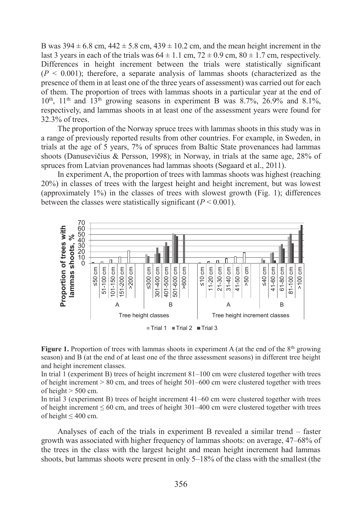B was  $394 \pm 6.8$  cm,  $442 \pm 5.8$  cm,  $439 \pm 10.2$  cm, and the mean height increment in the last 3 years in each of the trials was  $64 \pm 1.1$  cm,  $72 \pm 0.9$  cm,  $80 \pm 1.7$  cm, respectively. Differences in height increment between the trials were statistically significant  $(P \leq 0.001)$ ; therefore, a separate analysis of lammas shoots (characterized as the presence of them in at least one of the three years of assessment) was carried out for each of them. The proportion of trees with lammas shoots in a particular year at the end of  $10^{th}$ ,  $11^{th}$  and  $13^{th}$  growing seasons in experiment B was 8.7%, 26.9% and 8.1%, respectively, and lammas shoots in at least one of the assessment years were found for 32.3% of trees.

The proportion of the Norway spruce trees with lammas shoots in this study was in a range of previously reported results from other countries. For example, in Sweden, in trials at the age of 5 years, 7% of spruces from Baltic State provenances had lammas shoots (Danusevičius & Persson, 1998); in Norway, in trials at the same age, 28% of spruces from Latvian provenances had lammas shoots (Søgaard et al., 2011).

In experiment A, the proportion of trees with lammas shoots was highest (reaching 20%) in classes of trees with the largest height and height increment, but was lowest (approximately 1%) in the classes of trees with slowest growth (Fig. 1); differences between the classes were statistically significant  $(P < 0.001)$ .



**Figure 1.** Proportion of trees with lammas shoots in experiment A (at the end of the 8<sup>th</sup> growing season) and B (at the end of at least one of the three assessment seasons) in different tree height and height increment classes.

In trial 1 (experiment B) trees of height increment 81–100 cm were clustered together with trees of height increment  $> 80$  cm, and trees of height  $501-600$  cm were clustered together with trees of height > 500 cm.

In trial 3 (experiment B) trees of height increment 41–60 cm were clustered together with trees of height increment  $\leq 60$  cm, and trees of height 301–400 cm were clustered together with trees of height  $\leq 400$  cm.

Analyses of each of the trials in experiment B revealed a similar trend – faster growth was associated with higher frequency of lammas shoots: on average, 47–68% of the trees in the class with the largest height and mean height increment had lammas shoots, but lammas shoots were present in only 5–18% of the class with the smallest (the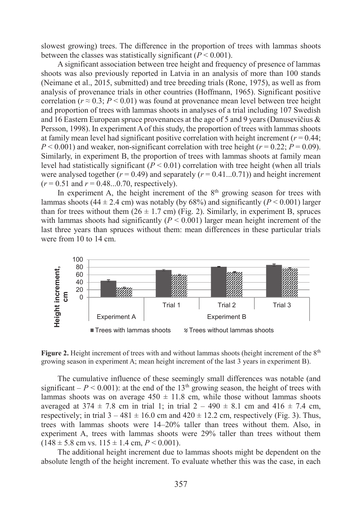slowest growing) trees. The difference in the proportion of trees with lammas shoots between the classes was statistically significant  $(P < 0.001)$ .

A significant association between tree height and frequency of presence of lammas shoots was also previously reported in Latvia in an analysis of more than 100 stands (Neimane et al., 2015, submitted) and tree breeding trials (Rone, 1975), as well as from analysis of provenance trials in other countries (Hoffmann, 1965). Significant positive correlation ( $r \approx 0.3$ ;  $P \le 0.01$ ) was found at provenance mean level between tree height and proportion of trees with lammas shoots in analyses of a trial including 107 Swedish and 16 Eastern European spruce provenances at the age of 5 and 9 years (Danusevičius & Persson, 1998). In experiment A of this study, the proportion of trees with lammas shoots at family mean level had significant positive correlation with height increment  $(r = 0.44)$ ;  $P < 0.001$  and weaker, non-significant correlation with tree height ( $r = 0.22$ ;  $P = 0.09$ ). Similarly, in experiment B, the proportion of trees with lammas shoots at family mean level had statistically significant  $(P < 0.01)$  correlation with tree height (when all trials were analysed together  $(r = 0.49)$  and separately  $(r = 0.41...0.71)$  and height increment  $(r = 0.51$  and  $r = 0.48...0.70$ , respectively).

In experiment A, the height increment of the  $8<sup>th</sup>$  growing season for trees with lammas shoots  $(44 \pm 2.4 \text{ cm})$  was notably (by 68%) and significantly  $(P \le 0.001)$  larger than for trees without them  $(26 \pm 1.7 \text{ cm})$  (Fig. 2). Similarly, in experiment B, spruces with lammas shoots had significantly  $(P < 0.001)$  larger mean height increment of the last three years than spruces without them: mean differences in these particular trials were from 10 to 14 cm.



**Figure 2.** Height increment of trees with and without lammas shoots (height increment of the 8<sup>th</sup> growing season in experiment A; mean height increment of the last 3 years in experiment B).

The cumulative influence of these seemingly small differences was notable (and significant –  $P < 0.001$ ): at the end of the 13<sup>th</sup> growing season, the height of trees with lammas shoots was on average  $450 \pm 11.8$  cm, while those without lammas shoots averaged at  $374 \pm 7.8$  cm in trial 1; in trial  $2 - 490 \pm 8.1$  cm and  $416 \pm 7.4$  cm, respectively; in trial  $3 - 481 \pm 16.0$  cm and  $420 \pm 12.2$  cm, respectively (Fig. 3). Thus, trees with lammas shoots were 14–20% taller than trees without them. Also, in experiment A, trees with lammas shoots were 29% taller than trees without them  $(148 \pm 5.8 \text{ cm vs. } 115 \pm 1.4 \text{ cm}, P \le 0.001)$ .

The additional height increment due to lammas shoots might be dependent on the absolute length of the height increment. To evaluate whether this was the case, in each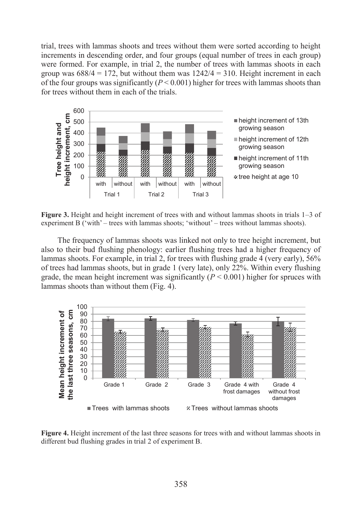trial, trees with lammas shoots and trees without them were sorted according to height increments in descending order, and four groups (equal number of trees in each group) were formed. For example, in trial 2, the number of trees with lammas shoots in each group was  $688/4 = 172$ , but without them was  $1242/4 = 310$ . Height increment in each of the four groups was significantly  $(P < 0.001)$  higher for trees with lammas shoots than for trees without them in each of the trials.



**Figure 3.** Height and height increment of trees with and without lammas shoots in trials 1–3 of experiment B ('with' – trees with lammas shoots; 'without' – trees without lammas shoots).

The frequency of lammas shoots was linked not only to tree height increment, but also to their bud flushing phenology: earlier flushing trees had a higher frequency of lammas shoots. For example, in trial 2, for trees with flushing grade 4 (very early), 56% of trees had lammas shoots, but in grade 1 (very late), only 22%. Within every flushing grade, the mean height increment was significantly  $(P < 0.001)$  higher for spruces with lammas shoots than without them (Fig. 4).



**Figure 4.** Height increment of the last three seasons for trees with and without lammas shoots in different bud flushing grades in trial 2 of experiment B.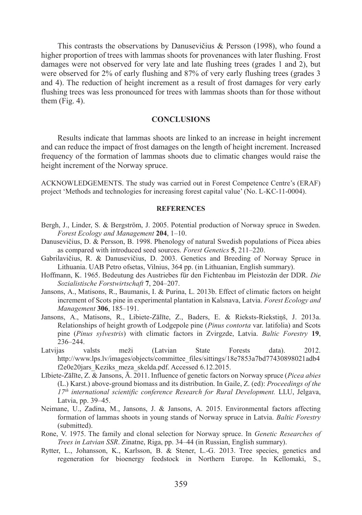This contrasts the observations by Danusevičius & Persson (1998), who found a higher proportion of trees with lammas shoots for provenances with later flushing. Frost damages were not observed for very late and late flushing trees (grades 1 and 2), but were observed for 2% of early flushing and 87% of very early flushing trees (grades 3 and 4). The reduction of height increment as a result of frost damages for very early flushing trees was less pronounced for trees with lammas shoots than for those without them  $(Fig. 4)$ .

#### **CONCLUSIONS**

Results indicate that lammas shoots are linked to an increase in height increment and can reduce the impact of frost damages on the length of height increment. Increased frequency of the formation of lammas shoots due to climatic changes would raise the height increment of the Norway spruce.

ACKNOWLEDGEMENTS. The study was carried out in Forest Competence Centre's (ERAF) project 'Methods and technologies for increasing forest capital value' (No. L-KC-11-0004).

## **REFERENCES**

- Bergh, J., Linder, S. & Bergström, J. 2005. Potential production of Norway spruce in Sweden. *Forest Ecology and Management* **204**, 1–10.
- Danusevičius, D. & Persson, B. 1998. Phenology of natural Swedish populations of Picea abies as compared with introduced seed sources. *Forest Genetics* **5**, 211–220.
- Gabrilavičius, R. & Danusevičius, D. 2003. Genetics and Breeding of Norway Spruce in Lithuania. UAB Petro ofsetas, Vilnius, 364 pp. (in Lithuanian, English summary).
- Hoffmann, K. 1965. Bedeutung des Austriebes für den Fichtenbau im Pleistozän der DDR. *Die Sozialistische Forstwirtschaft* **7**, 204–207.
- Jansons, A., Matisons, R., Baumanis, I. & Purina, L. 2013b. Effect of climatic factors on height increment of Scots pine in experimental plantation in Kalsnava, Latvia. *Forest Ecology and Management* **306**, 185–191.
- Jansons, A., Matisons, R., Libiete-Zālīte, Z., Baders, E. & Rieksts-Riekstiņš, J. 2013a. Relationships of height growth of Lodgepole pine (*Pinus contorta* var. latifolia) and Scots pine (*Pinus sylvestris*) with climatic factors in Zvirgzde, Latvia. *Baltic Forestry* **19**, 236–244.
- Latvijas valsts meži (Latvian State Forests data). 2012. http://www.lps.lv/images/objects/committee\_files/sittings/18e7853a7bd77430898021adb4 f2e0e20jars\_Keziks\_meza\_skelda.pdf. Accessed 6.12.2015.
- Lībiete-Zālīte, Z. & Jansons, Ā. 2011. Influence of genetic factors on Norway spruce (*Picea abies* (L.) Karst.) above-ground biomass and its distribution. In Gaile, Z. (ed): *Proceedings of the 17th international scientific conference Research for Rural Development.* LLU, Jelgava, Latvia, pp. 39–45.
- Neimane, U., Zadina, M., Jansons, J. & Jansons, A. 2015. Environmental factors affecting formation of lammas shoots in young stands of Norway spruce in Latvia. *Baltic Forestry* (submitted).
- Rone, V. 1975. The family and clonal selection for Norway spruce. In *Genetic Researches of Trees in Latvian SSR*. Zinatne, Riga, pp. 34–44 (in Russian, English summary).
- Rytter, L., Johansson, K., Karlsson, B. & Stener, L.-G. 2013. Tree species, genetics and regeneration for bioenergy feedstock in Northern Europe. In Kellomaki, S.,